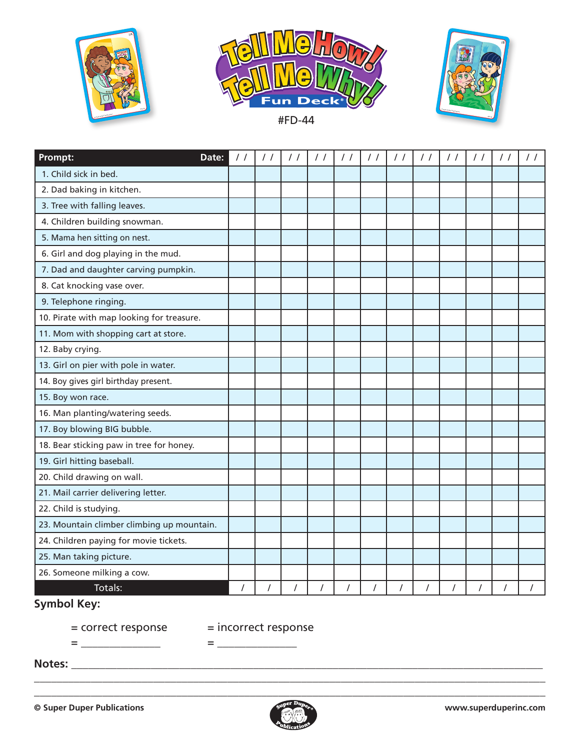





| Prompt:<br>Date:                           | / / | $\prime$ /     | $\frac{1}{2}$  | $\frac{1}{2}$  | $\frac{1}{2}$ | $\frac{1}{2}$ | $\frac{1}{2}$ | $\prime$ /     | $\prime$ / | $\prime$ / |  |
|--------------------------------------------|-----|----------------|----------------|----------------|---------------|---------------|---------------|----------------|------------|------------|--|
| 1. Child sick in bed.                      |     |                |                |                |               |               |               |                |            |            |  |
| 2. Dad baking in kitchen.                  |     |                |                |                |               |               |               |                |            |            |  |
| 3. Tree with falling leaves.               |     |                |                |                |               |               |               |                |            |            |  |
| 4. Children building snowman.              |     |                |                |                |               |               |               |                |            |            |  |
| 5. Mama hen sitting on nest.               |     |                |                |                |               |               |               |                |            |            |  |
| 6. Girl and dog playing in the mud.        |     |                |                |                |               |               |               |                |            |            |  |
| 7. Dad and daughter carving pumpkin.       |     |                |                |                |               |               |               |                |            |            |  |
| 8. Cat knocking vase over.                 |     |                |                |                |               |               |               |                |            |            |  |
| 9. Telephone ringing.                      |     |                |                |                |               |               |               |                |            |            |  |
| 10. Pirate with map looking for treasure.  |     |                |                |                |               |               |               |                |            |            |  |
| 11. Mom with shopping cart at store.       |     |                |                |                |               |               |               |                |            |            |  |
| 12. Baby crying.                           |     |                |                |                |               |               |               |                |            |            |  |
| 13. Girl on pier with pole in water.       |     |                |                |                |               |               |               |                |            |            |  |
| 14. Boy gives girl birthday present.       |     |                |                |                |               |               |               |                |            |            |  |
| 15. Boy won race.                          |     |                |                |                |               |               |               |                |            |            |  |
| 16. Man planting/watering seeds.           |     |                |                |                |               |               |               |                |            |            |  |
| 17. Boy blowing BIG bubble.                |     |                |                |                |               |               |               |                |            |            |  |
| 18. Bear sticking paw in tree for honey.   |     |                |                |                |               |               |               |                |            |            |  |
| 19. Girl hitting baseball.                 |     |                |                |                |               |               |               |                |            |            |  |
| 20. Child drawing on wall.                 |     |                |                |                |               |               |               |                |            |            |  |
| 21. Mail carrier delivering letter.        |     |                |                |                |               |               |               |                |            |            |  |
| 22. Child is studying.                     |     |                |                |                |               |               |               |                |            |            |  |
| 23. Mountain climber climbing up mountain. |     |                |                |                |               |               |               |                |            |            |  |
| 24. Children paying for movie tickets.     |     |                |                |                |               |               |               |                |            |            |  |
| 25. Man taking picture.                    |     |                |                |                |               |               |               |                |            |            |  |
| 26. Someone milking a cow.                 |     |                |                |                |               |               |               |                |            |            |  |
| Totals:                                    |     | $\overline{I}$ | $\overline{I}$ | $\overline{I}$ | $\prime$      |               | $\prime$      | $\overline{I}$ | $\prime$   | $\prime$   |  |

## **Symbol Key:**

= correct response = incorrect response

= \_\_\_\_\_\_\_\_\_\_\_\_\_\_ = \_\_\_\_\_\_\_\_\_\_\_\_\_\_

**Notes:** \_\_\_\_\_\_\_\_\_\_\_\_\_\_\_\_\_\_\_\_\_\_\_\_\_\_\_\_\_\_\_\_\_\_\_\_\_\_\_\_\_\_\_\_\_\_\_\_\_\_\_\_\_\_\_\_\_\_\_\_\_\_\_\_\_\_\_\_\_\_\_\_\_\_\_\_\_\_\_\_\_\_\_



\_\_\_\_\_\_\_\_\_\_\_\_\_\_\_\_\_\_\_\_\_\_\_\_\_\_\_\_\_\_\_\_\_\_\_\_\_\_\_\_\_\_\_\_\_\_\_\_\_\_\_\_\_\_\_\_\_\_\_\_\_\_\_\_\_\_\_\_\_\_\_\_\_\_\_\_\_\_\_\_\_\_\_\_\_\_\_\_\_\_